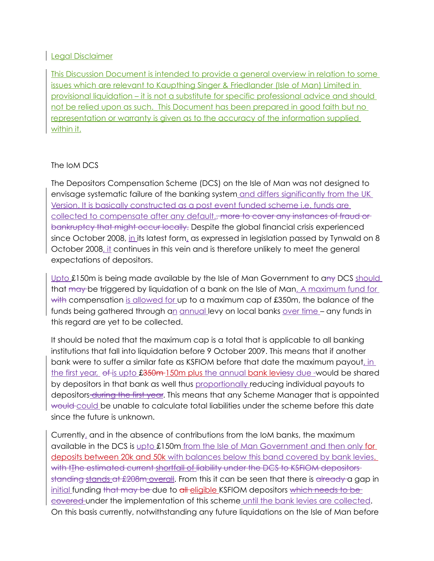## Legal Disclaimer

This Discussion Document is intended to provide a general overview in relation to some issues which are relevant to Kaupthing Singer & Friedlander (Isle of Man) Limited in provisional liquidation – it is not a substitute for specific professional advice and should not be relied upon as such. This Document has been prepared in good faith but no representation or warranty is given as to the accuracy of the information supplied within it.

## The IoM DCS

The Depositors Compensation Scheme (DCS) on the Isle of Man was not designed to envisage systematic failure of the banking system and differs significantly from the UK Version. It is basically constructed as a post event funded scheme i.e. funds are collected to compensate after any default.<del>, more to cover any instances of fraud or</del> bankruptcy that might occur locally. Despite the global financial crisis experienced since October 2008, in its latest form, as expressed in legislation passed by Tynwald on 8 October 2008, it continues in this vein and is therefore unlikely to meet the general expectations of depositors.

Upto £150m is being made available by the Isle of Man Government to any DCS should that may be triggered by liquidation of a bank on the Isle of Man. A maximum fund for with compensation is allowed for up to a maximum cap of £350m, the balance of the funds being gathered through an annual levy on local banks over time - any funds in this regard are yet to be collected.

It should be noted that the maximum cap is a total that is applicable to all banking institutions that fall into liquidation before 9 October 2009. This means that if another bank were to suffer a similar fate as KSFIOM before that date the maximum payout, in the first year, of is upto £350m 150m plus the annual bank leviesy due -would be shared by depositors in that bank as well thus proportionally reducing individual payouts to depositors during the first year. This means that any Scheme Manager that is appointed would could be unable to calculate total liabilities under the scheme before this date since the future is unknown.

Currently, and in the absence of contributions from the IoM banks, the maximum available in the DCS is upto £150m from the Isle of Man Government and then only for deposits between 20k and 50k with balances below this band covered by bank levies. with tThe estimated current shortfall of liability under the DCS to KSFIOM depositors standing stands at £208m overall. From this it can be seen that there is already a gap in initial funding that may be due to all eligible KSFIOM depositors which needs to be covered under the implementation of this scheme until the bank levies are collected. On this basis currently, notwithstanding any future liquidations on the Isle of Man before